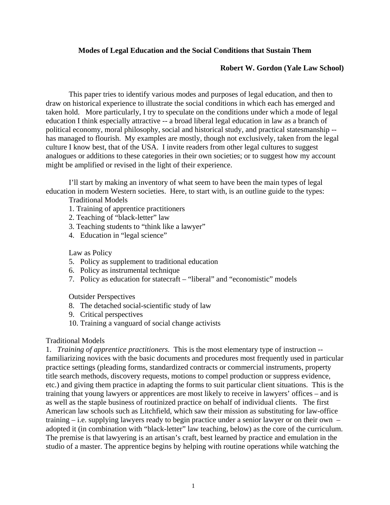# **Modes of Legal Education and the Social Conditions that Sustain Them**

### **Robert W. Gordon (Yale Law School)**

 This paper tries to identify various modes and purposes of legal education, and then to draw on historical experience to illustrate the social conditions in which each has emerged and taken hold. More particularly, I try to speculate on the conditions under which a mode of legal education I think especially attractive -- a broad liberal legal education in law as a branch of political economy, moral philosophy, social and historical study, and practical statesmanship - has managed to flourish. My examples are mostly, though not exclusively, taken from the legal culture I know best, that of the USA. I invite readers from other legal cultures to suggest analogues or additions to these categories in their own societies; or to suggest how my account might be amplified or revised in the light of their experience.

 I'll start by making an inventory of what seem to have been the main types of legal education in modern Western societies. Here, to start with, is an outline guide to the types:

Traditional Models

- 1. Training of apprentice practitioners
- 2. Teaching of "black-letter" law
- 3. Teaching students to "think like a lawyer"
- 4. Education in "legal science"

### Law as Policy

- 5. Policy as supplement to traditional education
- 6. Policy as instrumental technique
- 7. Policy as education for statecraft "liberal" and "economistic" models

Outsider Perspectives

- 8. The detached social-scientific study of law
- 9. Critical perspectives
- 10. Training a vanguard of social change activists

### Traditional Models

1. *Training of apprentice practitioners.* This is the most elementary type of instruction - familiarizing novices with the basic documents and procedures most frequently used in particular practice settings (pleading forms, standardized contracts or commercial instruments, property title search methods, discovery requests, motions to compel production or suppress evidence, etc.) and giving them practice in adapting the forms to suit particular client situations. This is the training that young lawyers or apprentices are most likely to receive in lawyers' offices – and is as well as the staple business of routinized practice on behalf of individual clients. The first American law schools such as Litchfield, which saw their mission as substituting for law-office training – i.e. supplying lawyers ready to begin practice under a senior lawyer or on their own – adopted it (in combination with "black-letter" law teaching, below) as the core of the curriculum. The premise is that lawyering is an artisan's craft, best learned by practice and emulation in the studio of a master. The apprentice begins by helping with routine operations while watching the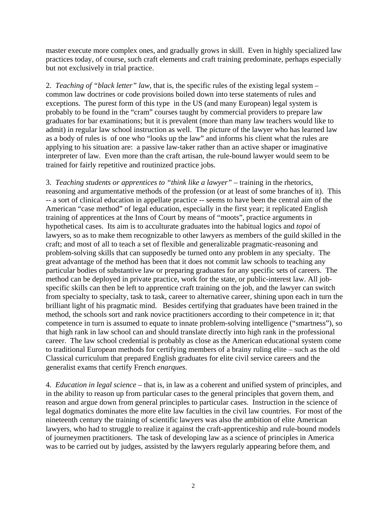master execute more complex ones, and gradually grows in skill. Even in highly specialized law practices today, of course, such craft elements and craft training predominate, perhaps especially but not exclusively in trial practice.

2. *Teaching of "black letter" law*, that is, the specific rules of the existing legal system – common law doctrines or code provisions boiled down into terse statements of rules and exceptions. The purest form of this type in the US (and many European) legal system is probably to be found in the "cram" courses taught by commercial providers to prepare law graduates for bar examinations; but it is prevalent (more than many law teachers would like to admit) in regular law school instruction as well. The picture of the lawyer who has learned law as a body of rules is of one who "looks up the law" and informs his client what the rules are applying to his situation are: a passive law-taker rather than an active shaper or imaginative interpreter of law. Even more than the craft artisan, the rule-bound lawyer would seem to be trained for fairly repetitive and routinized practice jobs.

3. *Teaching students or apprentices to "think like a lawyer"* – training in the rhetorics, reasoning and argumentative methods of the profession (or at least of some branches of it). This -- a sort of clinical education in appellate practice -- seems to have been the central aim of the American "case method" of legal education, especially in the first year; it replicated English training of apprentices at the Inns of Court by means of "moots", practice arguments in hypothetical cases. Its aim is to acculturate graduates into the habitual logics and *topoi* of lawyers, so as to make them recognizable to other lawyers as members of the guild skilled in the craft; and most of all to teach a set of flexible and generalizable pragmatic-reasoning and problem-solving skills that can supposedly be turned onto any problem in any specialty. The great advantage of the method has been that it does not commit law schools to teaching any particular bodies of substantive law or preparing graduates for any specific sets of careers. The method can be deployed in private practice, work for the state, or public-interest law. All jobspecific skills can then be left to apprentice craft training on the job, and the lawyer can switch from specialty to specialty, task to task, career to alternative career, shining upon each in turn the brilliant light of his pragmatic mind. Besides certifying that graduates have been trained in the method, the schools sort and rank novice practitioners according to their competence in it; that competence in turn is assumed to equate to innate problem-solving intelligence ("smartness"), so that high rank in law school can and should translate directly into high rank in the professional career. The law school credential is probably as close as the American educational system come to traditional European methods for certifying members of a brainy ruling elite – such as the old Classical curriculum that prepared English graduates for elite civil service careers and the generalist exams that certify French *enarques.* 

4. *Education in legal science* – that is, in law as a coherent and unified system of principles, and in the ability to reason up from particular cases to the general principles that govern them, and reason and argue down from general principles to particular cases. Instruction in the science of legal dogmatics dominates the more elite law faculties in the civil law countries. For most of the nineteenth century the training of scientific lawyers was also the ambition of elite American lawyers, who had to struggle to realize it against the craft-apprenticeship and rule-bound models of journeymen practitioners. The task of developing law as a science of principles in America was to be carried out by judges, assisted by the lawyers regularly appearing before them, and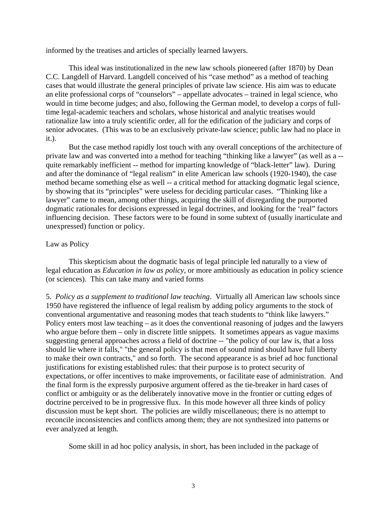informed by the treatises and articles of specially learned lawyers.

 This ideal was institutionalized in the new law schools pioneered (after 1870) by Dean C.C. Langdell of Harvard. Langdell conceived of his "case method" as a method of teaching cases that would illustrate the general principles of private law science. His aim was to educate an elite professional corps of "counselors" – appellate advocates – trained in legal science, who would in time become judges; and also, following the German model, to develop a corps of fulltime legal-academic teachers and scholars, whose historical and analytic treatises would rationalize law into a truly scientific order, all for the edification of the judiciary and corps of senior advocates. (This was to be an exclusively private-law science; public law had no place in it.).

 But the case method rapidly lost touch with any overall conceptions of the architecture of private law and was converted into a method for teaching "thinking like a lawyer" (as well as a - quite remarkably inefficient -- method for imparting knowledge of "black-letter" law). During and after the dominance of "legal realism" in elite American law schools (1920-1940), the case method became something else as well -- a critical method for attacking dogmatic legal science, by showing that its "principles" were useless for deciding particular cases. "Thinking like a lawyer" came to mean, among other things, acquiring the skill of disregarding the purported dogmatic rationales for decisions expressed in legal doctrines, and looking for the 'real" factors influencing decision. These factors were to be found in some subtext of (usually inarticulate and unexpressed) function or policy.

## Law as Policy

 This skepticism about the dogmatic basis of legal principle led naturally to a view of legal education as *Education in law as policy*, or more ambitiously as education in policy science (or sciences). This can take many and varied forms

5. *Policy as a supplement to traditional law teaching*. Virtually all American law schools since 1950 have registered the influence of legal realism by adding policy arguments to the stock of conventional argumentative and reasoning modes that teach students to "think like lawyers." Policy enters most law teaching – as it does the conventional reasoning of judges and the lawyers who argue before them – only in discrete little snippets. It sometimes appears as vague maxims suggesting general approaches across a field of doctrine -- "the policy of our law is, that a loss should lie where it falls," "the general policy is that men of sound mind should have full liberty to make their own contracts," and so forth. The second appearance is as brief ad hoc functional justifications for existing established rules: that their purpose is to protect security of expectations, or offer incentives to make improvements, or facilitate ease of administration. And the final form is the expressly purposive argument offered as the tie-breaker in hard cases of conflict or ambiguity or as the deliberately innovative move in the frontier or cutting edges of doctrine perceived to be in progressive flux. In this mode however all three kinds of policy discussion must be kept short. The policies are wildly miscellaneous; there is no attempt to reconcile inconsistencies and conflicts among them; they are not synthesized into patterns or ever analyzed at length.

Some skill in ad hoc policy analysis, in short, has been included in the package of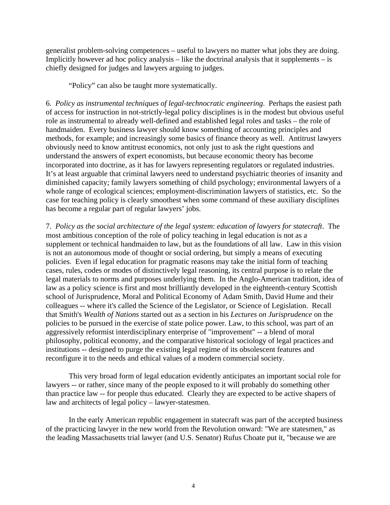generalist problem-solving competences – useful to lawyers no matter what jobs they are doing. Implicitly however ad hoc policy analysis – like the doctrinal analysis that it supplements – is chiefly designed for judges and lawyers arguing to judges.

"Policy" can also be taught more systematically.

6. *Policy as instrumental techniques of legal-technocratic engineering*. Perhaps the easiest path of access for instruction in not-strictly-legal policy disciplines is in the modest but obvious useful role as instrumental to already well-defined and established legal roles and tasks – the role of handmaiden. Every business lawyer should know something of accounting principles and methods, for example; and increasingly some basics of finance theory as well. Antitrust lawyers obviously need to know antitrust economics, not only just to ask the right questions and understand the answers of expert economists, but because economic theory has become incorporated into doctrine, as it has for lawyers representing regulators or regulated industries. It's at least arguable that criminal lawyers need to understand psychiatric theories of insanity and diminished capacity; family lawyers something of child psychology; environmental lawyers of a whole range of ecological sciences; employment-discrimination lawyers of statistics, etc. So the case for teaching policy is clearly smoothest when some command of these auxiliary disciplines has become a regular part of regular lawyers' jobs.

7. *Policy as the social architecture of the legal system*: *education of lawyers for statecraft*. The most ambitious conception of the role of policy teaching in legal education is not as a supplement or technical handmaiden to law, but as the foundations of all law. Law in this vision is not an autonomous mode of thought or social ordering, but simply a means of executing policies. Even if legal education for pragmatic reasons may take the initial form of teaching cases, rules, codes or modes of distinctively legal reasoning, its central purpose is to relate the legal materials to norms and purposes underlying them. In the Anglo-American tradition, idea of law as a policy science is first and most brilliantly developed in the eighteenth-century Scottish school of Jurisprudence, Moral and Political Economy of Adam Smith, David Hume and their colleagues -- where it's called the Science of the Legislator, or Science of Legislation. Recall that Smith's *Wealth of Nations* started out as a section in his *Lectures on Jurisprudence* on the policies to be pursued in the exercise of state police power. Law, to this school, was part of an aggressively reformist interdisciplinary enterprise of "improvement" -- a blend of moral philosophy, political economy, and the comparative historical sociology of legal practices and institutions -- designed to purge the existing legal regime of its obsolescent features and reconfigure it to the needs and ethical values of a modern commercial society.

 This very broad form of legal education evidently anticipates an important social role for lawyers -- or rather, since many of the people exposed to it will probably do something other than practice law -- for people thus educated. Clearly they are expected to be active shapers of law and architects of legal policy – lawyer-statesmen.

 In the early American republic engagement in statecraft was part of the accepted business of the practicing lawyer in the new world from the Revolution onward: "We are statesmen," as the leading Massachusetts trial lawyer (and U.S. Senator) Rufus Choate put it, "because we are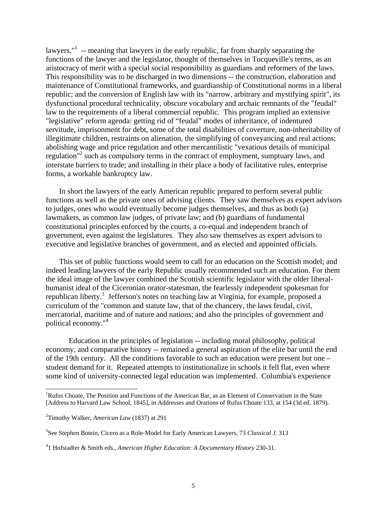lawyers,"<sup>1</sup> -- meaning that lawyers in the early republic, far from sharply separating the functions of the lawyer and the legislator, thought of themselves in Tocqueville's terms, as an aristocracy of merit with a special social responsibility as guardians and reformers of the laws. This responsibility was to be discharged in two dimensions -- the construction, elaboration and maintenance of Constitutional frameworks, and guardianship of Constitutional norms in a liberal republic; and the conversion of English law with its "narrow, arbitrary and mystifying spirit", its dysfunctional procedural technicality, obscure vocabulary and archaic remnants of the "feudal" law to the requirements of a liberal commercial republic. This program implied an extensive "legislative" reform agenda: getting rid of "feudal" modes of inheritance, of indentured servitude, imprisonment for debt, some of the total disabilities of coverture, non-inheritability of illegitimate children, restraints on alienation, the simplifying of conveyancing and real actions; abolishing wage and price regulation and other mercantilistic "vexatious details of municipal regulation"<sup>2</sup> such as compulsory terms in the contract of employment, sumptuary laws, and interstate barriers to trade; and installing in their place a body of facilitative rules, enterprise forms, a workable bankruptcy law.

 In short the lawyers of the early American republic prepared to perform several public functions as well as the private ones of advising clients. They saw themselves as expert advisors to judges, ones who would eventually become judges themselves, and thus as both (a) lawmakers, as common law judges, of private law; and (b) guardians of fundamental constitutional principles enforced by the courts, a co-equal and independent branch of government, even against the legislatures. They also saw themselves as expert advisors to executive and legislative branches of government, and as elected and appointed officials.

 This set of public functions would seem to call for an education on the Scottish model; and indeed leading lawyers of the early Republic usually recommended such an education. For them the ideal image of the lawyer combined the Scottish scientific legislator with the older liberalhumanist ideal of the Ciceronian orator-statesman, the fearlessly independent spokesman for republican liberty.<sup>3</sup> Jefferson's notes on teaching law at Virginia, for example, proposed a curriculum of the "common and statute law, that of the chancery, the laws feudal, civil, mercatorial, maritime and of nature and nations; and also the principles of government and political economy."<sup>4</sup>

 Education in the principles of legislation -- including moral philosophy, political economy, and comparative history -- remained a general aspiration of the elite bar until the end of the 19th century. All the conditions favorable to such an education were present but one – student demand for it. Repeated attempts to institutionalize in schools it fell flat, even where some kind of university-connected legal education was implemented. Columbia's experience

<sup>&</sup>lt;sup>1</sup>Rufus Choate, The Position and Functions of the American Bar, as an Element of Conservatism in the State [Address to Harvard Law School, 1845], in Addresses and Orations of Rufus Choate 133, at 154 (3d ed. 1879).

<sup>2</sup> Timothy Walker, *American Law* (1837) at 291

<sup>3</sup> See Stephen Botein, Cicero as a Role-Model for Early American Lawyers, 73 *Classical J.* 313

<sup>4</sup> 1 Hofstadter & Smith eds., *American Higher Education: A Documentary History* 230-31.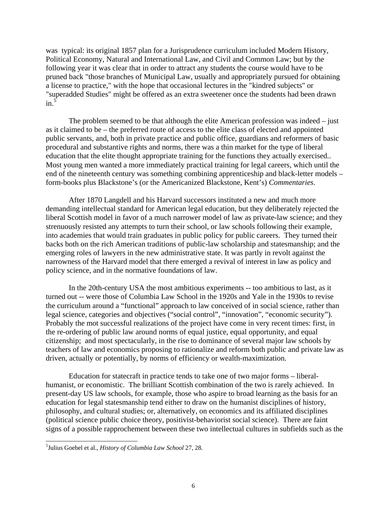was typical: its original 1857 plan for a Jurisprudence curriculum included Modern History, Political Economy, Natural and International Law, and Civil and Common Law; but by the following year it was clear that in order to attract any students the course would have to be pruned back "those branches of Municipal Law, usually and appropriately pursued for obtaining a license to practice," with the hope that occasional lectures in the "kindred subjects" or "superadded Studies" might be offered as an extra sweetener once the students had been drawn  $\sin^{5}$ 

 The problem seemed to be that although the elite American profession was indeed – just as it claimed to be – the preferred route of access to the elite class of elected and appointed public servants, and, both in private practice and public office, guardians and reformers of basic procedural and substantive rights and norms, there was a thin market for the type of liberal education that the elite thought appropriate training for the functions they actually exercised.. Most young men wanted a more immediately practical training for legal careers, which until the end of the nineteenth century was something combining apprenticeship and black-letter models – form-books plus Blackstone's (or the Americanized Blackstone, Kent's) *Commentaries*.

 After 1870 Langdell and his Harvard successors instituted a new and much more demanding intellectual standard for American legal education, but they deliberately rejected the liberal Scottish model in favor of a much narrower model of law as private-law science; and they strenuously resisted any attempts to turn their school, or law schools following their example, into academies that would train graduates in public policy for public careers. They turned their backs both on the rich American traditions of public-law scholarship and statesmanship; and the emerging roles of lawyers in the new administrative state. It was partly in revolt against the narrowness of the Harvard model that there emerged a revival of interest in law as policy and policy science, and in the normative foundations of law.

 In the 20th-century USA the most ambitious experiments -- too ambitious to last, as it turned out -- were those of Columbia Law School in the 1920s and Yale in the 1930s to revise the curriculum around a "functional" approach to law conceived of in social science, rather than legal science, categories and objectives ("social control", "innovation", "economic security"). Probably the mot successful realizations of the project have come in very recent times: first, in the re-ordering of public law around norms of equal justice, equal opportunity, and equal citizenship; and most spectacularly, in the rise to dominance of several major law schools by teachers of law and economics proposing to rationalize and reform both public and private law as driven, actually or potentially, by norms of efficiency or wealth-maximization.

 Education for statecraft in practice tends to take one of two major forms – liberalhumanist, or economistic. The brilliant Scottish combination of the two is rarely achieved. In present-day US law schools, for example, those who aspire to broad learning as the basis for an education for legal statesmanship tend either to draw on the humanist disciplines of history, philosophy, and cultural studies; or, alternatively, on economics and its affiliated disciplines (political science public choice theory, positivist-behaviorist social science). There are faint signs of a possible rapprochement between these two intellectual cultures in subfields such as the

<sup>5</sup> Julius Goebel et al., *History of Columbia Law School* 27, 28.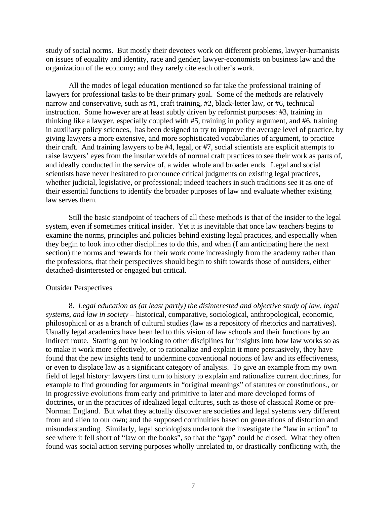study of social norms. But mostly their devotees work on different problems, lawyer-humanists on issues of equality and identity, race and gender; lawyer-economists on business law and the organization of the economy; and they rarely cite each other's work.

 All the modes of legal education mentioned so far take the professional training of lawyers for professional tasks to be their primary goal. Some of the methods are relatively narrow and conservative, such as #1, craft training, #2, black-letter law, or #6, technical instruction. Some however are at least subtly driven by reformist purposes: #3, training in thinking like a lawyer, especially coupled with #5, training in policy argument, and #6, training in auxiliary policy sciences, has been designed to try to improve the average level of practice, by giving lawyers a more extensive, and more sophisticated vocabularies of argument, to practice their craft. And training lawyers to be #4, legal, or #7, social scientists are explicit attempts to raise lawyers' eyes from the insular worlds of normal craft practices to see their work as parts of, and ideally conducted in the service of, a wider whole and broader ends. Legal and social scientists have never hesitated to pronounce critical judgments on existing legal practices, whether judicial, legislative, or professional; indeed teachers in such traditions see it as one of their essential functions to identify the broader purposes of law and evaluate whether existing law serves them.

 Still the basic standpoint of teachers of all these methods is that of the insider to the legal system, even if sometimes critical insider. Yet it is inevitable that once law teachers begins to examine the norms, principles and policies behind existing legal practices, and especially when they begin to look into other disciplines to do this, and when (I am anticipating here the next section) the norms and rewards for their work come increasingly from the academy rather than the professions, that their perspectives should begin to shift towards those of outsiders, either detached-disinterested or engaged but critical.

#### Outsider Perspectives

 8. *Legal education as (at least partly) the disinterested and objective study of law, legal systems, and law in society* – historical, comparative, sociological, anthropological, economic, philosophical or as a branch of cultural studies (law as a repository of rhetorics and narratives). Usually legal academics have been led to this vision of law schools and their functions by an indirect route. Starting out by looking to other disciplines for insights into how law works so as to make it work more effectively, or to rationalize and explain it more persuasively, they have found that the new insights tend to undermine conventional notions of law and its effectiveness, or even to displace law as a significant category of analysis. To give an example from my own field of legal history: lawyers first turn to history to explain and rationalize current doctrines, for example to find grounding for arguments in "original meanings" of statutes or constitutions., or in progressive evolutions from early and primitive to later and more developed forms of doctrines, or in the practices of idealized legal cultures, such as those of classical Rome or pre-Norman England. But what they actually discover are societies and legal systems very different from and alien to our own; and the supposed continuities based on generations of distortion and misunderstanding. Similarly, legal sociologists undertook the investigate the "law in action" to see where it fell short of "law on the books", so that the "gap" could be closed. What they often found was social action serving purposes wholly unrelated to, or drastically conflicting with, the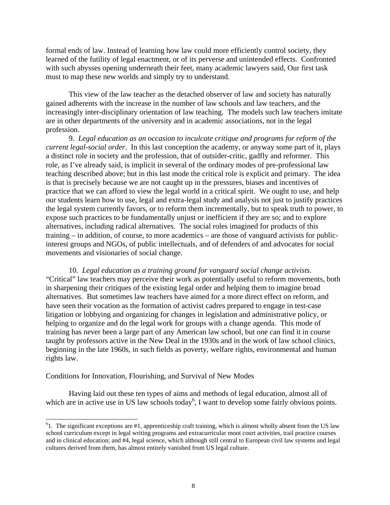formal ends of law. Instead of learning how law could more efficiently control society, they learned of the futility of legal enactment, or of its perverse and unintended effects. Confronted with such abysses opening underneath their feet, many academic lawyers said, Our first task must to map these new worlds and simply try to understand.

 This view of the law teacher as the detached observer of law and society has naturally gained adherents with the increase in the number of law schools and law teachers, and the increasingly inter-disciplinary orientation of law teaching. The models such law teachers imitate are in other departments of the university and in academic associations, not in the legal profession.

 9. *Legal education as an occasion to inculcate critique and programs for reform of the current legal-social order*. In this last conception the academy, or anyway some part of it, plays a distinct role in society and the profession, that of outsider-critic, gadfly and reformer. This role, as I've already said, is implicit in several of the ordinary modes of pre-professional law teaching described above; but in this last mode the critical role is explicit and primary. The idea is that is precisely because we are not caught up in the pressures, biases and incentives of practice that we can afford to view the legal world in a critical spirit. We ought to use, and help our students learn how to use, legal and extra-legal study and analysis not just to justify practices the legal system currently favors, or to reform them incrementally, but to speak truth to power, to expose such practices to be fundamentally unjust or inefficient if they are so; and to explore alternatives, including radical alternatives. The social roles imagined for products of this training – in addition, of course, to more academics – are those of vanguard activists for publicinterest groups and NGOs, of public intellectuals, and of defenders of and advocates for social movements and visionaries of social change.

 10. *Legal education as a training ground for vanguard social change activists*. "Critical" law teachers may perceive their work as potentially useful to reform movements, both in sharpening their critiques of the existing legal order and helping them to imagine broad alternatives. But sometimes law teachers have aimed for a more direct effect on reform, and have seen their vocation as the formation of activist cadres prepared to engage in test-case litigation or lobbying and organizing for changes in legislation and administrative policy, or helping to organize and do the legal work for groups with a change agenda. This mode of training has never been a large part of any American law school, but one can find it in course taught by professors active in the New Deal in the 1930s and in the work of law school clinics, beginning in the late 1960s, in such fields as poverty, welfare rights, environmental and human rights law.

### Conditions for Innovation, Flourishing, and Survival of New Modes

 $\overline{\phantom{a}}$ 

 Having laid out these ten types of aims and methods of legal education, almost all of which are in active use in US law schools today<sup>6</sup>, I want to develop some fairly obvious points.

 $61$ . The significant exceptions are #1, apprenticeship craft training, which is almost wholly absent from the US law school curriculum except in legal writing programs and extracurricular moot court activities, trail practice courses and in clinical education; and #4, legal science, which although still central to European civil law systems and legal cultures derived from them, has almost entirely vanished from US legal culture.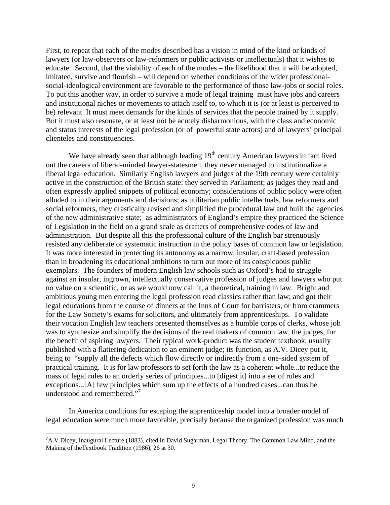First, to repeat that each of the modes described has a vision in mind of the kind or kinds of lawyers (or law-observers or law-reformers or public activists or intellectuals) that it wishes to educate. Second, that the viability of each of the modes – the likelihood that it will be adopted, imitated, survive and flourish – will depend on whether conditions of the wider professionalsocial-ideological environment are favorable to the performance of those law-jobs or social roles. To put this another way, in order to survive a mode of legal training must have jobs and careers and institutional niches or movements to attach itself to, to which it is (or at least is perceived to be) relevant. It must meet demands for the kinds of services that the people trained by it supply. But it must also resonate, or at least not be acutely disharmonious, with the class and economic and status interests of the legal profession (or of powerful state actors) and of lawyers' principal clienteles and constituencies.

We have already seen that although leading  $19<sup>th</sup>$  century American lawyers in fact lived out the careers of liberal-minded lawyer-statesmen, they never managed to institutionalize a liberal legal education. Similarly English lawyers and judges of the 19th century were certainly active in the construction of the British state: they served in Parliament; as judges they read and often expressly applied snippets of political economy; considerations of public policy were often alluded to in their arguments and decisions; as utilitarian public intellectuals, law reformers and social reformers, they drastically revised and simplified the procedural law and built the agencies of the new administrative state; as administrators of England's empire they practiced the Science of Legislation in the field on a grand scale as drafters of comprehensive codes of law and administration. But despite all this the professional culture of the English bar strenuously resisted any deliberate or systematic instruction in the policy bases of common law or legislation. It was more interested in protecting its autonomy as a narrow, insular, craft-based profession than in broadening its educational ambitions to turn out more of its conspicuous public exemplars. The founders of modern English law schools such as Oxford's had to struggle against an insular, ingrown, intellectually conservative profession of judges and lawyers who put no value on a scientific, or as we would now call it, a theoretical, training in law. Bright and ambitious young men entering the legal profession read classics rather than law; and got their legal educations from the course of dinners at the Inns of Court for barristers, or from crammers for the Law Society's exams for solicitors, and ultimately from apprenticeships. To validate their vocation English law teachers presented themselves as a humble corps of clerks, whose job was to synthesize and simplify the decisions of the real makers of common law, the judges, for the benefit of aspiring lawyers. Their typical work-product was the student textbook, usually published with a flattering dedication to an eminent judge; its function, as A.V. Dicey put it, being to "supply all the defects which flow directly or indirectly from a one-sided system of practical training. It is for law professors to set forth the law as a coherent whole...to reduce the mass of legal rules to an orderly series of principles...to [digest it] into a set of rules and exceptions...[A] few principles which sum up the effects of a hundred cases...can thus be understood and remembered."<sup>7</sup>

 In America conditions for escaping the apprenticeship model into a broader model of legal education were much more favorable, precisely because the organized profession was much

<sup>&</sup>lt;sup>7</sup>A.V.Dicey, Inaugural Lecture (1883), cited in David Sugarman, Legal Theory, The Common Law Mind, and the Making of theTextbook Tradition (1986), 26 at 30.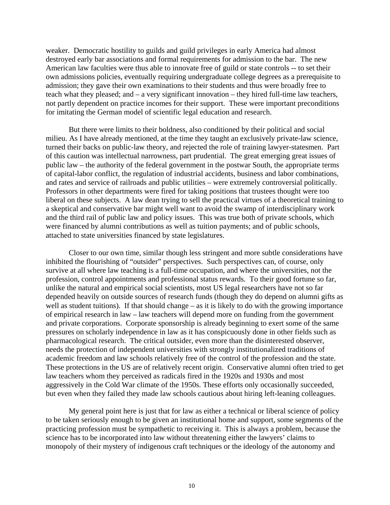weaker. Democratic hostility to guilds and guild privileges in early America had almost destroyed early bar associations and formal requirements for admission to the bar. The new American law faculties were thus able to innovate free of guild or state controls -- to set their own admissions policies, eventually requiring undergraduate college degrees as a prerequisite to admission; they gave their own examinations to their students and thus were broadly free to teach what they pleased; and – a very significant innovation – they hired full-time law teachers, not partly dependent on practice incomes for their support. These were important preconditions for imitating the German model of scientific legal education and research.

 But there were limits to their boldness, also conditioned by their political and social milieu. As I have already mentioned, at the time they taught an exclusively private-law science, turned their backs on public-law theory, and rejected the role of training lawyer-statesmen. Part of this caution was intellectual narrowness, part prudential. The great emerging great issues of public law – the authority of the federal government in the postwar South, the appropriate terms of capital-labor conflict, the regulation of industrial accidents, business and labor combinations, and rates and service of railroads and public utilities – were extremely controversial politically. Professors in other departments were fired for taking positions that trustees thought were too liberal on these subjects. A law dean trying to sell the practical virtues of a theoretical training to a skeptical and conservative bar might well want to avoid the swamp of interdisciplinary work and the third rail of public law and policy issues. This was true both of private schools, which were financed by alumni contributions as well as tuition payments; and of public schools, attached to state universities financed by state legislatures.

 Closer to our own time, similar though less stringent and more subtle considerations have inhibited the flourishing of "outsider" perspectives. Such perspectives can, of course, only survive at all where law teaching is a full-time occupation, and where the universities, not the profession, control appointments and professional status rewards. To their good fortune so far, unlike the natural and empirical social scientists, most US legal researchers have not so far depended heavily on outside sources of research funds (though they do depend on alumni gifts as well as student tuitions). If that should change – as it is likely to do with the growing importance of empirical research in law – law teachers will depend more on funding from the government and private corporations. Corporate sponsorship is already beginning to exert some of the same pressures on scholarly independence in law as it has conspicuously done in other fields such as pharmacological research. The critical outsider, even more than the disinterested observer, needs the protection of independent universities with strongly institutionalized traditions of academic freedom and law schools relatively free of the control of the profession and the state. These protections in the US are of relatively recent origin. Conservative alumni often tried to get law teachers whom they perceived as radicals fired in the 1920s and 1930s and most aggressively in the Cold War climate of the 1950s. These efforts only occasionally succeeded, but even when they failed they made law schools cautious about hiring left-leaning colleagues.

 My general point here is just that for law as either a technical or liberal science of policy to be taken seriously enough to be given an institutional home and support, some segments of the practicing profession must be sympathetic to receiving it. This is always a problem, because the science has to be incorporated into law without threatening either the lawyers' claims to monopoly of their mystery of indigenous craft techniques or the ideology of the autonomy and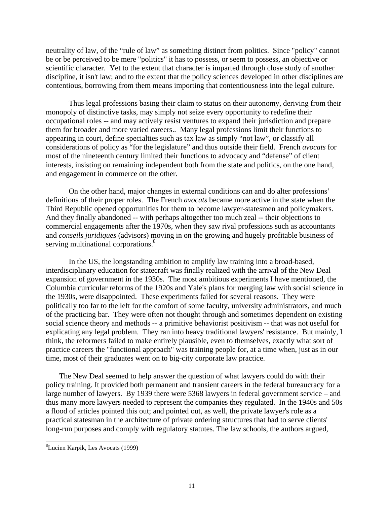neutrality of law, of the "rule of law" as something distinct from politics. Since "policy" cannot be or be perceived to be mere "politics" it has to possess, or seem to possess, an objective or scientific character. Yet to the extent that character is imparted through close study of another discipline, it isn't law; and to the extent that the policy sciences developed in other disciplines are contentious, borrowing from them means importing that contentiousness into the legal culture.

 Thus legal professions basing their claim to status on their autonomy, deriving from their monopoly of distinctive tasks, may simply not seize every opportunity to redefine their occupational roles -- and may actively resist ventures to expand their jurisdiction and prepare them for broader and more varied careers.. Many legal professions limit their functions to appearing in court, define specialties such as tax law as simply "not law", or classify all considerations of policy as "for the legislature" and thus outside their field. French *avocats* for most of the nineteenth century limited their functions to advocacy and "defense" of client interests, insisting on remaining independent both from the state and politics, on the one hand, and engagement in commerce on the other.

 On the other hand, major changes in external conditions can and do alter professions' definitions of their proper roles. The French *avocats* became more active in the state when the Third Republic opened opportunities for them to become lawyer-statesmen and policymakers. And they finally abandoned -- with perhaps altogether too much zeal -- their objections to commercial engagements after the 1970s, when they saw rival professions such as accountants and *conseils juridiques* (advisors) moving in on the growing and hugely profitable business of serving multinational corporations.<sup>8</sup>

 In the US, the longstanding ambition to amplify law training into a broad-based, interdisciplinary education for statecraft was finally realized with the arrival of the New Deal expansion of government in the 1930s. The most ambitious experiments I have mentioned, the Columbia curricular reforms of the 1920s and Yale's plans for merging law with social science in the 1930s, were disappointed. These experiments failed for several reasons. They were politically too far to the left for the comfort of some faculty, university administrators, and much of the practicing bar. They were often not thought through and sometimes dependent on existing social science theory and methods -- a primitive behaviorist positivism -- that was not useful for explicating any legal problem. They ran into heavy traditional lawyers' resistance. But mainly, I think, the reformers failed to make entirely plausible, even to themselves, exactly what sort of practice careers the "functional approach" was training people for, at a time when, just as in our time, most of their graduates went on to big-city corporate law practice.

 The New Deal seemed to help answer the question of what lawyers could do with their policy training. It provided both permanent and transient careers in the federal bureaucracy for a large number of lawyers. By 1939 there were 5368 lawyers in federal government service – and thus many more lawyers needed to represent the companies they regulated. In the 1940s and 50s a flood of articles pointed this out; and pointed out, as well, the private lawyer's role as a practical statesman in the architecture of private ordering structures that had to serve clients' long-run purposes and comply with regulatory statutes. The law schools, the authors argued,

<sup>8</sup> Lucien Karpik, Les Avocats (1999)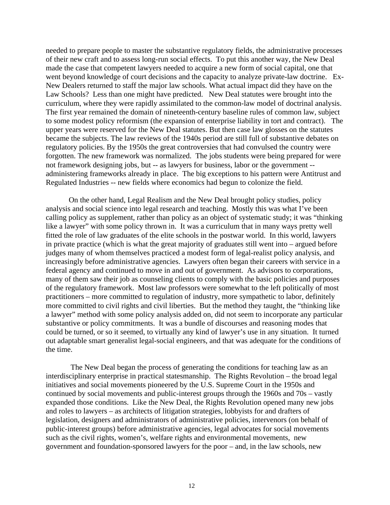needed to prepare people to master the substantive regulatory fields, the administrative processes of their new craft and to assess long-run social effects. To put this another way, the New Deal made the case that competent lawyers needed to acquire a new form of social capital, one that went beyond knowledge of court decisions and the capacity to analyze private-law doctrine. Ex-New Dealers returned to staff the major law schools. What actual impact did they have on the Law Schools? Less than one might have predicted. New Deal statutes were brought into the curriculum, where they were rapidly assimilated to the common-law model of doctrinal analysis. The first year remained the domain of nineteenth-century baseline rules of common law, subject to some modest policy reformism (the expansion of enterprise liability in tort and contract). The upper years were reserved for the New Deal statutes. But then case law glosses on the statutes became the subjects. The law reviews of the 1940s period are still full of substantive debates on regulatory policies. By the 1950s the great controversies that had convulsed the country were forgotten. The new framework was normalized. The jobs students were being prepared for were not framework designing jobs, but -- as lawyers for business, labor or the government - administering frameworks already in place. The big exceptions to his pattern were Antitrust and Regulated Industries -- new fields where economics had begun to colonize the field.

 On the other hand, Legal Realism and the New Deal brought policy studies, policy analysis and social science into legal research and teaching. Mostly this was what I've been calling policy as supplement, rather than policy as an object of systematic study; it was "thinking like a lawyer" with some policy thrown in. It was a curriculum that in many ways pretty well fitted the role of law graduates of the elite schools in the postwar world. In this world, lawyers in private practice (which is what the great majority of graduates still went into – argued before judges many of whom themselves practiced a modest form of legal-realist policy analysis, and increasingly before administrative agencies. Lawyers often began their careers with service in a federal agency and continued to move in and out of government. As advisors to corporations, many of them saw their job as counseling clients to comply with the basic policies and purposes of the regulatory framework. Most law professors were somewhat to the left politically of most practitioners – more committed to regulation of industry, more sympathetic to labor, definitely more committed to civil rights and civil liberties. But the method they taught, the "thinking like a lawyer" method with some policy analysis added on, did not seem to incorporate any particular substantive or policy commitments. It was a bundle of discourses and reasoning modes that could be turned, or so it seemed, to virtually any kind of lawyer's use in any situation. It turned out adaptable smart generalist legal-social engineers, and that was adequate for the conditions of the time.

 The New Deal began the process of generating the conditions for teaching law as an interdisciplinary enterprise in practical statesmanship. The Rights Revolution – the broad legal initiatives and social movements pioneered by the U.S. Supreme Court in the 1950s and continued by social movements and public-interest groups through the 1960s and 70s – vastly expanded those conditions. Like the New Deal, the Rights Revolution opened many new jobs and roles to lawyers – as architects of litigation strategies, lobbyists for and drafters of legislation, designers and administrators of administrative policies, intervenors (on behalf of public-interest groups) before administrative agencies, legal advocates for social movements such as the civil rights, women's, welfare rights and environmental movements, new government and foundation-sponsored lawyers for the poor – and, in the law schools, new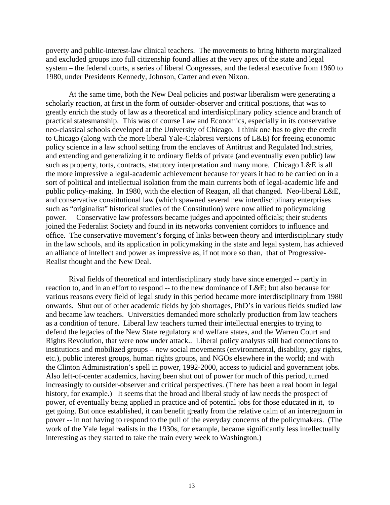poverty and public-interest-law clinical teachers. The movements to bring hitherto marginalized and excluded groups into full citizenship found allies at the very apex of the state and legal system – the federal courts, a series of liberal Congresses, and the federal executive from 1960 to 1980, under Presidents Kennedy, Johnson, Carter and even Nixon.

 At the same time, both the New Deal policies and postwar liberalism were generating a scholarly reaction, at first in the form of outsider-observer and critical positions, that was to greatly enrich the study of law as a theoretical and interdisicplinary policy science and branch of practical statesmanship. This was of course Law and Economics, especially in its conservative neo-classical schools developed at the University of Chicago. I think one has to give the credit to Chicago (along with the more liberal Yale-Calabresi versions of L&E) for freeing economic policy science in a law school setting from the enclaves of Antitrust and Regulated Industries, and extending and generalizing it to ordinary fields of private (and eventually even public) law such as property, torts, contracts, statutory interpretation and many more. Chicago L&E is all the more impressive a legal-academic achievement because for years it had to be carried on in a sort of political and intellectual isolation from the main currents both of legal-academic life and public policy-making. In 1980, with the election of Reagan, all that changed. Neo-liberal L&E, and conservative constitutional law (which spawned several new interdisciplinary enterprises such as "originalist" historical studies of the Constitution) were now allied to policymaking power. Conservative law professors became judges and appointed officials; their students joined the Federalist Society and found in its networks convenient corridors to influence and office. The conservative movement's forging of links between theory and interdisciplinary study in the law schools, and its application in policymaking in the state and legal system, has achieved an alliance of intellect and power as impressive as, if not more so than, that of Progressive-Realist thought and the New Deal.

 Rival fields of theoretical and interdisciplinary study have since emerged -- partly in reaction to, and in an effort to respond -- to the new dominance of L&E; but also because for various reasons every field of legal study in this period became more interdisciplinary from 1980 onwards. Shut out of other academic fields by job shortages, PhD's in various fields studied law and became law teachers. Universities demanded more scholarly production from law teachers as a condition of tenure. Liberal law teachers turned their intellectual energies to trying to defend the legacies of the New State regulatory and welfare states, and the Warren Court and Rights Revolution, that were now under attack.. Liberal policy analysts still had connections to institutions and mobilized groups – new social movements (environmental, disability, gay rights, etc.), public interest groups, human rights groups, and NGOs elsewhere in the world; and with the Clinton Administration's spell in power, 1992-2000, access to judicial and government jobs. Also left-of-center academics, having been shut out of power for much of this period, turned increasingly to outsider-observer and critical perspectives. (There has been a real boom in legal history, for example.) It seems that the broad and liberal study of law needs the prospect of power, of eventually being applied in practice and of potential jobs for those educated in it, to get going. But once established, it can benefit greatly from the relative calm of an interregnum in power -- in not having to respond to the pull of the everyday concerns of the policymakers. (The work of the Yale legal realists in the 1930s, for example, became significantly less intellectually interesting as they started to take the train every week to Washington.)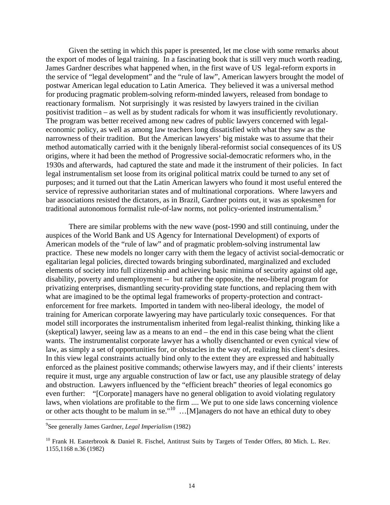Given the setting in which this paper is presented, let me close with some remarks about the export of modes of legal training. In a fascinating book that is still very much worth reading, James Gardner describes what happened when, in the first wave of US legal-reform exports in the service of "legal development" and the "rule of law", American lawyers brought the model of postwar American legal education to Latin America. They believed it was a universal method for producing pragmatic problem-solving reform-minded lawyers, released from bondage to reactionary formalism. Not surprisingly it was resisted by lawyers trained in the civilian positivist tradition – as well as by student radicals for whom it was insufficiently revolutionary. The program was better received among new cadres of public lawyers concerned with legaleconomic policy, as well as among law teachers long dissatisfied with what they saw as the narrowness of their tradition. But the American lawyers' big mistake was to assume that their method automatically carried with it the benignly liberal-reformist social consequences of its US origins, where it had been the method of Progressive social-democratic reformers who, in the 1930s and afterwards, had captured the state and made it the instrument of their policies. In fact legal instrumentalism set loose from its original political matrix could be turned to any set of purposes; and it turned out that the Latin American lawyers who found it most useful entered the service of repressive authoritarian states and of multinational corporations. Where lawyers and bar associations resisted the dictators, as in Brazil, Gardner points out, it was as spokesmen for traditional autonomous formalist rule-of-law norms, not policy-oriented instrumentalism.<sup>9</sup>

 There are similar problems with the new wave (post-1990 and still continuing, under the auspices of the World Bank and US Agency for International Development) of exports of American models of the "rule of law" and of pragmatic problem-solving instrumental law practice. These new models no longer carry with them the legacy of activist social-democratic or egalitarian legal policies, directed towards bringing subordinated, marginalized and excluded elements of society into full citizenship and achieving basic minima of security against old age, disability, poverty and unemployment -- but rather the opposite, the neo-liberal program for privatizing enterprises, dismantling security-providing state functions, and replacing them with what are imagined to be the optimal legal frameworks of property-protection and contractenforcement for free markets. Imported in tandem with neo-liberal ideology, the model of training for American corporate lawyering may have particularly toxic consequences. For that model still incorporates the instrumentalism inherited from legal-realist thinking, thinking like a (skeptical) lawyer, seeing law as a means to an end – the end in this case being what the client wants. The instrumentalist corporate lawyer has a wholly disenchanted or even cynical view of law, as simply a set of opportunities for, or obstacles in the way of, realizing his client's desires. In this view legal constraints actually bind only to the extent they are expressed and habitually enforced as the plainest positive commands; otherwise lawyers may, and if their clients' interests require it must, urge any arguable construction of law or fact, use any plausible strategy of delay and obstruction. Lawyers influenced by the "efficient breach" theories of legal economics go even further: "[Corporate] managers have no general obligation to avoid violating regulatory laws, when violations are profitable to the firm .... We put to one side laws concerning violence or other acts thought to be malum in se."<sup>10</sup> ...[M]anagers do not have an ethical duty to obey

<sup>9</sup> See generally James Gardner, *Legal Imperialism* (1982)

<sup>&</sup>lt;sup>10</sup> Frank H. Easterbrook & Daniel R. Fischel, Antitrust Suits by Targets of Tender Offers, 80 Mich. L. Rev. 1155,1168 n.36 (1982)